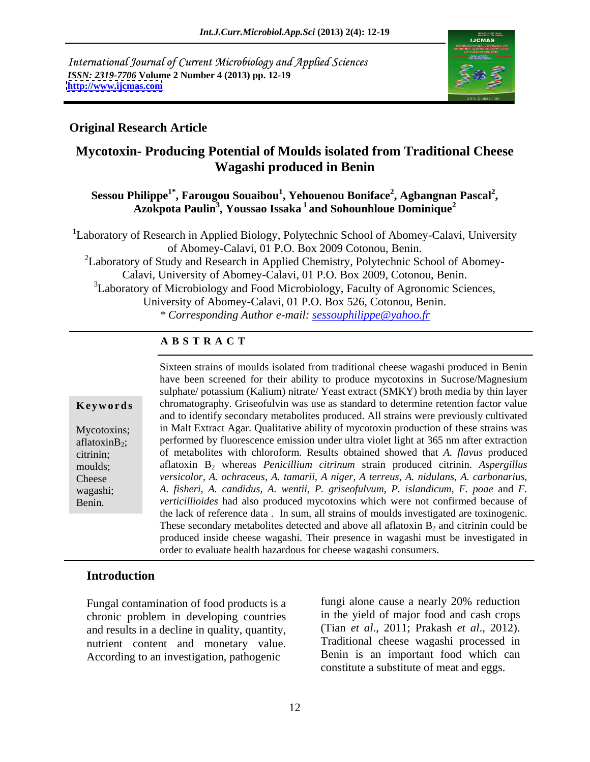International Journal of Current Microbiology and Applied Sciences *ISSN: 2319-7706* **Volume 2 Number 4 (2013) pp. 12-19 <http://www.ijcmas.com>**



### **Original Research Article**

# **Mycotoxin- Producing Potential of Moulds isolated from Traditional Cheese Wagashi produced in Benin**

### $\boldsymbol{\mathrm{S}}$ essou Philippe $^{1^*}$ , Farougou Souaibou $^1$ , Yehouenou Boniface $^2$ , Agbangnan Pascal $^2$ , **, Agbangnan Pascal<sup>2</sup>** hilippe<sup>1°</sup>, Farougou Souaibou<sup>1</sup>, Yehouenou Boniface<sup>2</sup>, Agbangnan Pascal<sup>2</sup>,<br>Azokpota Paulin<sup>3</sup>, Youssao Issaka <sup>1</sup> and Sohounhloue Dominique<sup>2</sup>

<sup>1</sup>Laboratory of Research in Applied Biology, Polytechnic School of Abomey-Calavi, University of Abomey-Calavi, 01 P.O. Box 2009 Cotonou, Benin.<br><sup>2</sup>Laboratory of Study and Research in Applied Chemistry, Polytechnic School of Abomey-

Calavi, University of Abomey-Calavi, 01 P.O. Box 2009, Cotonou, Benin. 3Laboratory of Microbiology and Food Microbiology, Faculty of Agronomic Sciences, University of Abomey-Calavi, 01 P.O. Box 526, Cotonou, Benin. *\* Corresponding Author e-mail: sessouphilippe@yahoo.fr*

### **A B S T R A C T**

**Keywords** chromatography. Griseofulvin was use as standard to determine retention factor value Mycotoxins; in Malt Extract Agar. Qualitative ability of mycotoxin production of these strains was aflatoxin $B_2$ ; performed by fluorescence emission under ultra violet light at 365 nm after extraction citrinin; of metabolites with chloroform. Results obtained showed that *A. flavus* produced moulds; aflatoxin B<sub>2</sub> whereas *Penicillium citrinum* strain produced citrinin. *Aspergillus* Cheese *versicolor, A. ochraceus, A. tamarii, A niger, A terreus, A. nidulans, A. carbonarius,* wagashi; *A. fisheri, A. candidus, A. wentii, P. griseofulvum, P. islandicum, F. poae* and *F.* Benin. *verticillioides* had also produced mycotoxins which were not confirmed because of Sixteen strains of moulds isolated from traditional cheese wagashi produced in Benin have been screened for their ability to produce mycotoxins in Sucrose/Magnesium sulphate/ potassium (Kalium) nitrate/ Yeast extract (SMKY) broth media by thin layer and to identify secondary metabolites produced. All strains were previously cultivated the lack of reference data . In sum, all strains of moulds investigated are toxinogenic. These secondary metabolites detected and above all aflatoxin  $B_2$  and citrinin could be produced inside cheese wagashi. Their presence in wagashi must be investigated in order to evaluate health hazardous for cheese wagashi consumers.

### **Introduction**

chronic problem in developing countries and results in a decline in quality, quantity, nutrient content and monetary value. According to an investigation, pathogenic

Fungal contamination of food products is a fungi alone cause a nearly 20% reduction fungi alone cause a nearly 20% reduction in the yield of major food and cash crops (Tian *et al*., 2011; Prakash *et al*., 2012). Traditional cheese wagashi processed in Benin is an important food which can constitute a substitute of meat and eggs.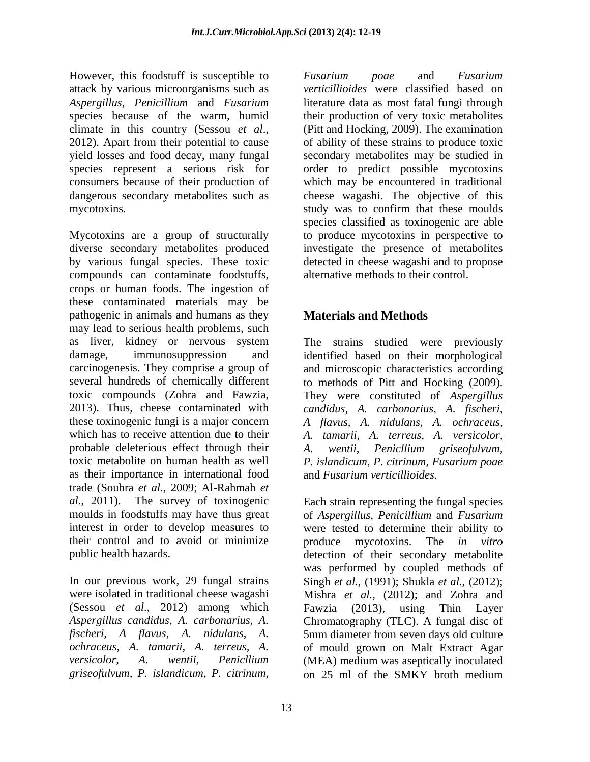However, this foodstuff is susceptible to Fusarium poae and Fusarium attack by various microorganisms such as *Aspergillus*, *Penicillium* and *Fusarium* literature data as most fatal fungi through species because of the warm, humid their production of very toxic metabolites climate in this country (Sessou *et al*., 2012). Apart from their potential to cause yield losses and food decay, many fungal secondary metabolites may be studied in species represent a serious risk for order to predict possible mycotoxins consumers because of their production of which may be encountered in traditional dangerous secondary metabolites such as mycotoxins. study was to confirm that these moulds

Mycotoxins are a group of structurally diverse secondary metabolites produced by various fungal species. These toxic detected in cheese wagashi and to propose compounds can contaminate foodstuffs, crops or human foods. The ingestion of these contaminated materials may be pathogenic in animals and humans as they may lead to serious health problems, such as liver, kidney or nervous system The strains studied were previously damage, immunosuppression and identified based on their morphological carcinogenesis. They comprise a group of and microscopic characteristics according several hundreds of chemically different to methods of Pitt and Hocking (2009). toxic compounds (Zohra and Fawzia, They were constituted of *Aspergillus* 2013). Thus, cheese contaminated with candidus. A. carbonarius. A. fischeri. these toxinogenic fungi is a major concern  $A$  *flavus*, A. *nidulans*, A. *ochraceus*, which has to receive attention due to their *A. tamarii, A. terreus, A. versicolor,* probable deleterious effect through their A. wentii, Penicllium griseofulvum, toxic metabolite on human health as well *P. islandicum, P. citrinum, Fusarium poae* as their importance in international food trade (Soubra *et al*., 2009; Al-Rahmah *et al*., 2011). The survey of toxinogenic moulds in foodstuffs may have thus great of *Aspergillus*, *Penicillium* and *Fusarium* interest in order to develop measures to were tested to determine their ability to their control and to avoid or minimize broduce mycotoxins. The *in vitro* However, this loosted is susteptible to *Fusarium Posa*<br> *Posarium in the same state of the same of <i>Pusarium* in the<br>cause of the same state of the same of *Pusarium* in the same of a particular<br> *Presenting the same of* 

*verticillioides* were classified based on (Pitt and Hocking, 2009). The examination of ability of these strains to produce toxic cheese wagashi. The objective of this species classified as toxinogenic are able to produce mycotoxins in perspective to investigate the presence of metabolites alternative methods to their control.

# **Materials and Methods**

candidus, A. carbonarius, A. fischeri,<br>A flavus, A. nidulans, A. ochraceus,<br>A. tamarii, A. terreus, A. versicolor,<br>A. wentii, Penicllium griseofulvum,<br>P. islandicum, P. citrinum, Fusarium-poae and *Fusarium verticillioides*.

public health hazards. detection of their secondary metabolite In our previous work, 29 fungal strains Singh *et al.,* (1991); Shukla *et al.,* (2012); were isolated in traditional cheese wagashi Mishra *et al.,* (2012); and Zohra and (Sessou *et al*., 2012) among which Fawzia (2013), using Thin Layer *Aspergillus candidus, A. carbonarius, A.* Chromatography (TLC). A fungal disc of *fischeri, A flavus, A. nidulans, A.* 5mm diameter from seven days old culture *ochraceus, A. tamarii, A. terreus, A.* of mould grown on Malt Extract Agar *versicolor, A. wentii, Penicllium* (MEA) medium was aseptically inoculated Each strain representing the fungal species produce mycotoxins. The *in vitro* was performed by coupled methods of on 25 ml of the SMKY broth medium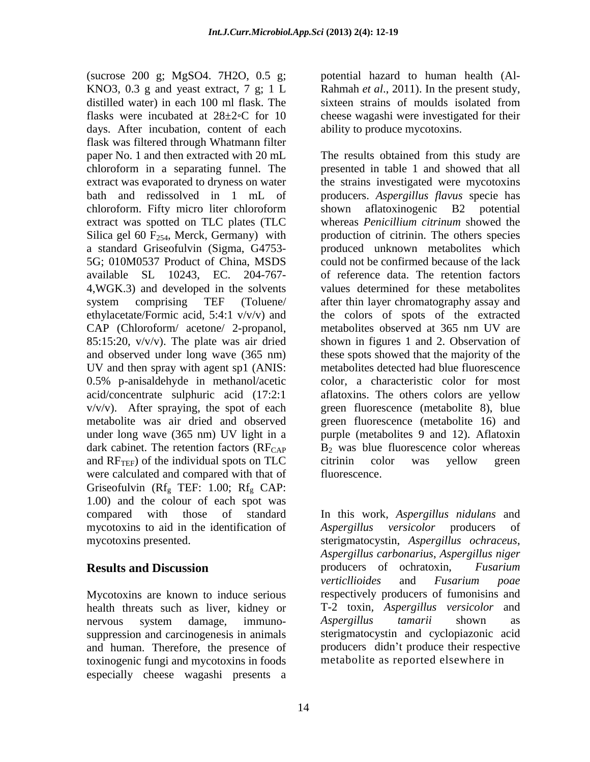(sucrose 200 g; MgSO4. 7H2O, 0.5 g; KNO3,  $0.3$  g and yeast extract,  $7$  g;  $1 L$ distilled water) in each 100 ml flask. The sixteen strains of moulds isolated from flasks were incubated at  $28 \pm 2$ °C for 10 cheese wagashi were investigated for their days. After incubation, content of each flask was filtered through Whatmann filter chloroform in a separating funnel. The 5G; 010M0537 Product of China, MSDS 4,WGK.3) and developed in the solvents CAP (Chloroform/ acetone/ 2-propanol, metabolites observed at 365 nm UV are UV and then spray with agent sp1 (ANIS: and  $RF_{TEF}$ ) of the individual spots on TLC citrinin color was vellow green were calculated and compared with that of fluorescence. Griseofulvin ( $Rf_g$  TEF: 1.00;  $Rf_g$  CAP: 1.00) and the colour of each spot was mycotoxins to aid in the identification of Aspergillus versicolor producers of

Mycotoxins are known to induce serious suppression and carcinogenesis in animals and human. Therefore, the presence of toxinogenic fungi and mycotoxins in foods especially cheese wagashi presents a

potential hazard to human health (Al- Rahmah *et al*., 2011). In the present study, sixteen strains of moulds isolated from ability to produce mycotoxins.

paper No. 1 and then extracted with 20 mL The results obtained from this study are extract was evaporated to dryness on water the strains investigated were mycotoxins bath and redissolved in 1 mL of producers. *Aspergillus flavus* specie has chloroform. Fifty micro liter chloroform extract was spotted on TLC plates (TLC whereas *Penicillium citrinum* showed the Silica gel 60  $F_{254}$ , Merck, Germany) with production of citrinin. The others species a standard Griseofulvin (Sigma, G4753- produced unknown metabolites which available SL 10243, EC. 204-767- of reference data. The retention factors system comprising TEF (Toluene/ after thin layer chromatography assay and ethylacetate/Formic acid, 5:4:1 v/v/v) and the colors of spots of the extracted 85:15:20, v/v/v). The plate was air dried shown in figures 1 and 2. Observation of and observed under long wave (365 nm) these spots showed that the majority of the 0.5% p-anisaldehyde in methanol/acetic color, a characteristic color for most acid/concentrate sulphuric acid (17:2:1 aflatoxins. The others colors are yellow v/v/v). After spraying, the spot of each green fluorescence (metabolite 8), blue metabolite was air dried and observed green fluorescence (metabolite 16) and under long wave (365 nm) UV light in a purple (metabolites 9 and 12). Aflatoxin dark cabinet. The retention factors  $(RF_{CAP}$   $B_2$  was blue fluorescence color whereas presented in table 1 and showed that all shown aflatoxinogenic B2 potential could not be confirmed because of the lack values determined for these metabolites metabolites observed at 365 nm UV are metabolites detected had blue fluorescence citrinin color was yellow green fluorescence.

compared with those of standard In this work, *Aspergillus nidulans* and mycotoxins presented. sterigmatocystin, *Aspergillus ochraceus*, **Results and Discussion b producers** of ochratoxin, *Fusarium* health threats such as liver, kidney or T-2 toxin*, Aspergillus versicolor* and nervous system damage, immuno- *Aspergillus tamarii* shown as *versicolor* producers *Aspergillus carbonarius*, *Aspergillus niger* producers of ochratoxin, *Fusarium verticllioides* and *Fusarium poae* respectively producers of fumonisins and *Aspergillus tamarii* shown as sterigmatocystin and cyclopiazonic acid producers didn't produce their respective metabolite as reported elsewhere in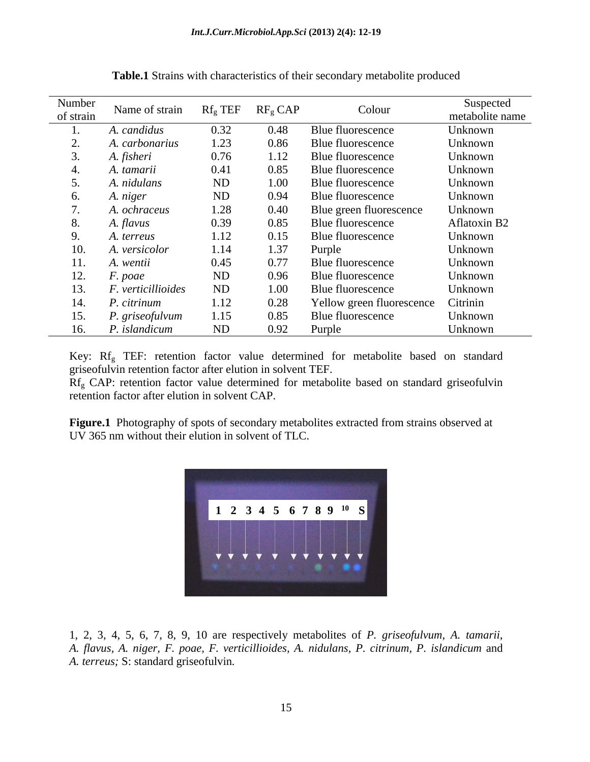| Number<br>of strain | Name of strain          | $Rf_{g}$ TEF $RF_{g}$ CAP |      | Colour                    | Suspected<br>metabolite name |
|---------------------|-------------------------|---------------------------|------|---------------------------|------------------------------|
|                     | A. candidus             | 0.32                      | 0.48 | Blue fluorescence         | Unknown                      |
|                     | A. carbonarius          | 1.23                      | 0.86 | Blue fluorescence         | Unknown                      |
|                     | A. fisheri              | 0.76                      | 1.12 | Blue fluorescence         | Unknown                      |
|                     | A. tamarii              | 0.41                      | 0.85 | Blue fluorescence         | Unknown                      |
|                     | A. nidulans             | ND                        | 1.00 | Blue fluorescence         | Unknown                      |
|                     | A. niger                | <b>ND</b>                 | 0.94 | Blue fluorescence         | Unknown                      |
|                     | A. ochraceus            | 1.28                      | 0.40 | Blue green fluorescence   | Unknown                      |
|                     | A. flavus               | 0.39                      | 0.85 | Blue fluorescence         | Aflatoxin B2                 |
|                     | A. terreus              | 1.12                      | 0.15 | Blue fluorescence         | Unknown                      |
| 10.                 | A. versicolor           | 1.14                      | 1.37 | Purple                    | Unknown                      |
| 11.                 | A. wentii               | 0.45                      | 0.77 | Blue fluorescence         | Unknown                      |
| 12.                 | F. poae                 | <b>ND</b>                 | 0.96 | Blue fluorescence         | Unknown                      |
| 13.                 | F. verticillioides      | ND                        | 1.00 | Blue fluorescence         | Unknown                      |
| 14.                 | <sup>2</sup> . citrinum | 1.12                      | 0.28 | Yellow green fluorescence | Citrinin                     |
| 15.                 | P. griseofulvum         | 1.15                      | 0.85 | Blue fluorescence         | Unknown                      |
| 16.                 | P. islandicum           | <b>ND</b>                 | 0.92 | Purple                    | Unknown                      |

**Table.1** Strains with characteristics of their secondary metabolite produced

Key: Rfg TEF: retention factor value determined for metabolite based on standard griseofulvin retention factor after elution in solvent TEF.

Rf<sub>g</sub> CAP: retention factor value determined for metabolite based on standard griseofulvin retention factor after elution in solvent CAP.

**Figure.1** Photography of spots of secondary metabolites extracted from strains observed at UV 365 nm without their elution in solvent of TLC.



1, 2, 3, 4, 5, 6, 7, 8, 9, 10 are respectively metabolites of *P. griseofulvum*, *A. tamarii*, *A. flavus*, *A. niger*, *F. poae*, *F. verticillioides*, *A. nidulans*, *P. citrinum*, *P. islandicum* and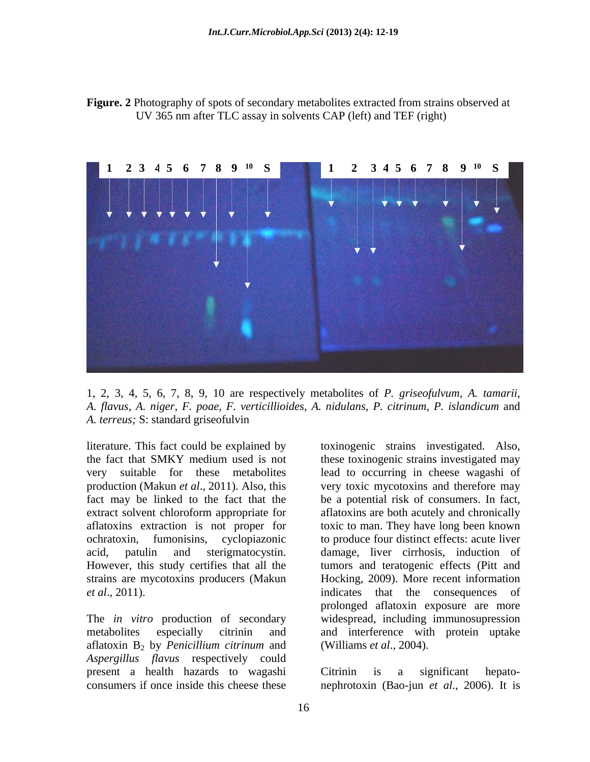



1, 2, 3, 4, 5, 6, 7, 8, 9, 10 are respectively metabolites of *P. griseofulvum*, *A. tamarii*, *A. flavus*, *A. niger, F. poae, F. verticillioides, A. nidulans, P. citrinum, P. islandicum* and *A. terreus;* S: standard griseofulvin

literature. This fact could be explained by production (Makun *et al*., 2011). Also, this However, this study certifies that all the strains are mycotoxins producers (Makun

The *in vitro* production of secondary metabolites especially citrinin and and interference with protein uptake aflatoxin B2 by *Penicillium citrinum* and *Aspergillus flavus* respectively could present a health hazards to wagashi Citrinin is a significant hepato-

the fact that SMKY medium used is not these toxinogenic strains investigated may very suitable for these metabolites lead to occurring in cheese wagashi of fact may be linked to the fact that the be a potential risk of consumers. In fact, extract solvent chloroform appropriate for aflatoxins are both acutely and chronically aflatoxins extraction is not proper for toxic to man. They have long been known ochratoxin, fumonisins, cyclopiazonic to produce four distinct effects: acute liver acid, patulin and sterigmatocystin. damage, liver cirrhosis, induction of *et al*., 2011). indicates that the consequences of toxinogenic strains investigated. Also, very toxic mycotoxins and therefore may tumors and teratogenic effects (Pitt and Hocking, 2009). More recent information prolonged aflatoxin exposure are more widespread, including immunosupression (Williams *et al*., 2004).

consumers if once inside this cheese these nephrotoxin (Bao-jun *et al*., 2006). It is Citrinin is a significant hepato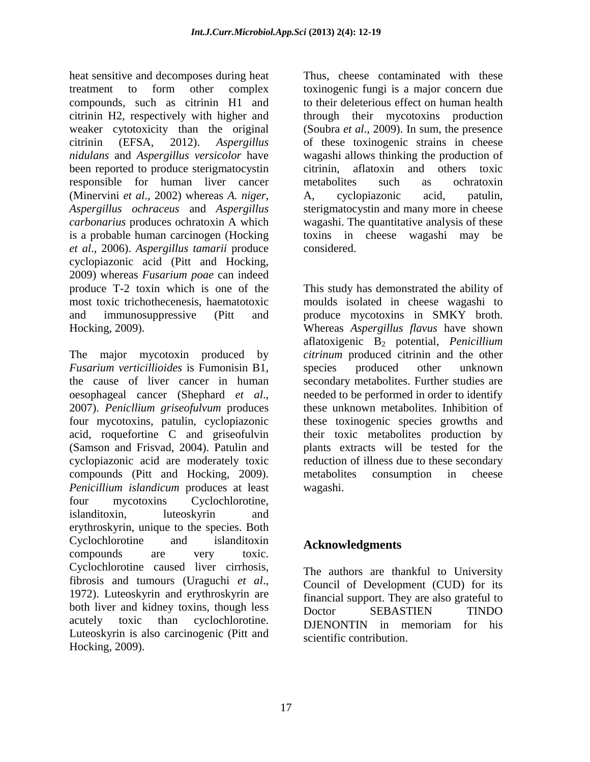heat sensitive and decomposes during heat treatment to form other complex toxinogenic fungi is a major concern due compounds, such as citrinin H1 and citrinin H2, respectively with higher and through their mycotoxins production weaker cytotoxicity than the original (Soubra *et al*., 2009). In sum, the presence citrinin (EFSA, 2012). *Aspergillus*  of these toxinogenic strains in cheese *nidulans* and *Aspergillus versicolor* have wagashi allows thinking the production of been reported to produce sterigmatocystin citrinin, responsible for human liver cancer (Minervini *et al*., 2002) whereas *A. niger*, *Aspergillus ochraceus* and *Aspergillus* sterigmatocystin and many more in cheese *carbonarius* produces ochratoxin A which wagashi. The quantitative analysis of these is a probable human carcinogen (Hocking toxins in cheese wagashi may be *et al*., 2006). *Aspergillus tamarii* produce cyclopiazonic acid (Pitt and Hocking, 2009) whereas *Fusarium poae* can indeed produce T-2 toxin which is one of the This study has demonstrated the ability of most toxic trichothecenesis, haematotoxic moulds isolated in cheese wagashi to and immunosuppressive (Pitt and produce mycotoxins in SMKY broth.

The major mycotoxin produced by *citrinum* produced citrinin and the other *Fusarium verticillioides* is Fumonisin B1, the cause of liver cancer in human secondary metabolites. Further studies are oesophageal cancer (Shephard *et al*., 2007). *Penicllium griseofulvum* produces four mycotoxins, patulin, cyclopiazonic acid, roquefortine C and griseofulvin their toxic metabolites production by (Samson and Frisvad, 2004). Patulin and plants extracts will be tested for the cyclopiazonic acid are moderately toxic reduction of illness due to these secondary compounds (Pitt and Hocking, 2009). *Penicillium islandicum* produces at least four mycotoxins Cyclochlorotine, islanditoxin, luteoskyrin and erythroskyrin, unique to the species. Both  $Cyclochlorotine$  and islanditoxin  $Acknowledgments$ compounds are very toxic. Cyclochlorotine caused liver cirrhosis, fibrosis and tumours (Uraguchi *et al.*,<br>1972). Luteoskyrin and erythroskyrin are financial support They are also grateful to both liver and kidney toxins, though less Doctor SEBASTIEN TINDO acutely toxic than cyclochlorotine. DENONTIN in memoriam for his Luteoskyrin is also carcinogenic (Pitt and Hocking, 2009).

Thus, cheese contaminated with these to their deleterious effect on human health aflatoxin and others toxic metabolites such as ochratoxin A, cyclopiazonic acid, patulin, considered.

Hocking, 2009). Whereas *Aspergillus flavus* have shown aflatoxigenic B2 potential, *Penicillium*  species produced other unknown needed to be performed in order to identify these unknown metabolites. Inhibition of these toxinogenic species growths and metabolites consumption in cheese wagashi.

## **Acknowledgments**

The authors are thankful to University Council of Development (CUD) for its financial support. They are also grateful to Doctor SEBASTIEN TINDO DJENONTIN in memoriam for his scientific contribution.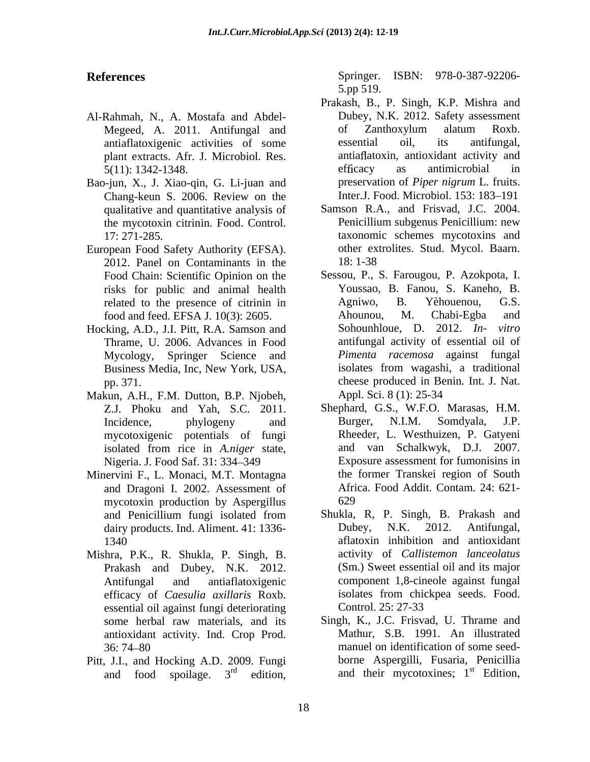- Al-Rahmah, N., A. Mostafa and Abdel antiaflatoxigenic activities of some plant extracts. Afr. J. Microbiol. Res.
- Bao-jun, X., J. Xiao-qin, G. Li-juan and Chang-keun S. 2006. Review on the qualitative and quantitative analysis of the mycotoxin citrinin. Food. Control.
- European Food Safety Authority (EFSA). 2012. Panel on Contaminants in the risks for public and animal health
- Hocking, A.D., J.I. Pitt, R.A. Samson and Sohounhloue, D. 2012. In- vitro Mycology, Springer Science and
- Makun, A.H., F.M. Dutton, B.P. Njobeh, Appl. Sci. 8 (1): 25-34 mycotoxigenic potentials of fungi
- Minervini F., L. Monaci, M.T. Montagna and Dragoni I. 2002. Assessment of mycotoxin production by Aspergillus
- efficacy of *Caesulia axillaris* Roxb. essential oil against fungi deteriorating antioxidant activity. Ind. Crop Prod.
- Pitt, J.I., and Hocking A.D. 2009. Fungi

**References** Springer. ISBN: 978-0-387-92206- 5.pp 519.

- Megeed, A. 2011. Antifungal and of Zanthoxylum alatum Roxb.<br>antiaflatoxigenic activities of some essential oil, its antifungal, 5(11): 1342-1348. Prakash, B., P. Singh, K.P. Mishra and Dubey, N.K. 2012. Safety assessment of Zanthoxylum alatum Roxb. essential oil, its antifungal, antia flatoxin, antioxidant activity and efficacy as antimicrobial in preservation of *Piper nigrum* L. fruits. Inter.J. Food. Microbiol. 153: 183-191
- 17: 271-285. taxonomic schemes mycotoxins and Samson R.A., and Frisvad, J.C. 2004. Penicillium subgenus Penicillium: new other extrolites. Stud. Mycol. Baarn. 18: 1-38
- Food Chain: Scientific Opinion on the Sessou, P., S. Farougou, P. Azokpota, I. related to the presence of citrinin in Agniwo, B. Yèhouenou, G.S. food and feed. EFSA J. 10(3): 2605. Ahounou, M. Chabi-Egba and Thrame, U. 2006. Advances in Food antifungal activity of essential oil of Business Media, Inc, New York, USA, pp. 371. cheese produced in Benin. Int. J. Nat. Youssao, B. Fanou, S. Kaneho, B. Agniwo, B. Yèhouenou, G.S. Ahounou, M. Chabi-Egba and Sohounhloue, D. 2012. *In-Pimenta racemosa* against fungal isolates from wagashi, a traditional Appl. Sci. 8 (1): 25-34
- Z.J. Phoku and Yah, S.C. 2011. Shephard, G.S., W.F.O. Marasas, H.M. Incidence, phylogeny and Burger, N.I.M. Somdyala, J.P. isolated from rice in *A.niger* state, Nigeria. J. Food Saf. 31: 334–349 Exposure assessment for fumonisins in Burger, N.I.M. Somdyala, J.P. Rheeder, L. Westhuizen, P. Gatyeni and van Schalkwyk, D.J. 2007. the former Transkei region of South Africa. Food Addit. Contam. 24: 621- 629
- and Penicillium fungi isolated from Shukla, R, P. Singh, B. Prakash and dairy products. Ind. Aliment. 41: 1336-<br>
Dubey, N.K. 2012. Antifungal, 1340 aflatoxin inhibition and antioxidant Mishra, P.K., R. Shukla, P. Singh, B. activity of *Callistemon lanceolatus*<br>Prakash and Dubey, N.K. 2012. (Sm.) Sweet essential oil and its major Antifungal and antiaflatoxigenic component 1,8-cineole against fungal Shukla, R, P. Singh, B. Prakash and Dubey, N.K. 2012. Antifungal, activity of *Callistemon lanceolatus* (Sm.) Sweet essential oil and its major isolates from chickpea seeds. Food. Control. 25: 27-33
	- some herbal raw materials, and its Singh, K., J.C. Frisvad, U. Thrame and 36: 74 80 manuel on identification of some seed and food spoilage.  $3^{rd}$  edition, and their mycotoxines;  $1^{st}$  Edition, Mathur, S.B. 1991. An illustrated borne Aspergilli, Fusaria, Penicillia st Edition,